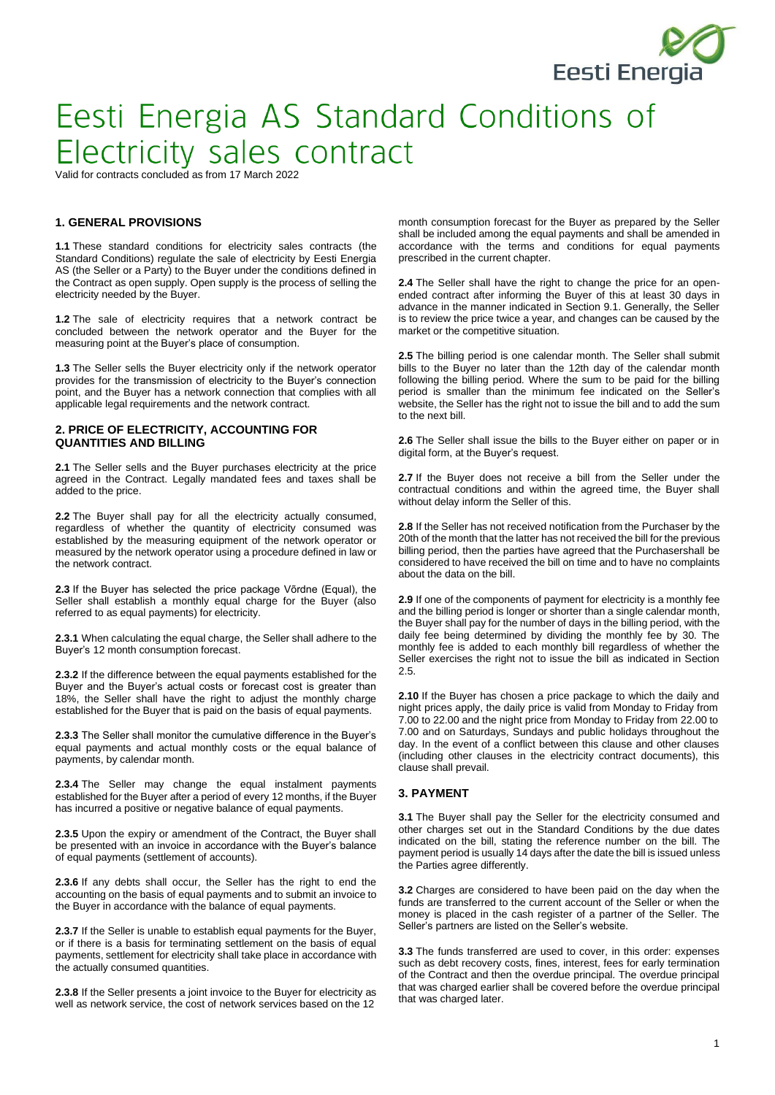

Valid for contracts concluded as from 17 March 2022

### **1. GENERAL PROVISIONS**

**1.1** These standard conditions for electricity sales contracts (the Standard Conditions) regulate the sale of electricity by Eesti Energia AS (the Seller or a Party) to the Buyer under the conditions defined in the Contract as open supply. Open supply is the process of selling the electricity needed by the Buyer.

**1.2** The sale of electricity requires that a network contract be concluded between the network operator and the Buyer for the measuring point at the Buyer's place of consumption.

**1.3** The Seller sells the Buyer electricity only if the network operator provides for the transmission of electricity to the Buyer's connection point, and the Buyer has a network connection that complies with all applicable legal requirements and the network contract.

### **2. PRICE OF ELECTRICITY, ACCOUNTING FOR QUANTITIES AND BILLING**

**2.1** The Seller sells and the Buyer purchases electricity at the price agreed in the Contract. Legally mandated fees and taxes shall be added to the price.

**2.2** The Buyer shall pay for all the electricity actually consumed, regardless of whether the quantity of electricity consumed was established by the measuring equipment of the network operator or measured by the network operator using a procedure defined in law or the network contract.

**2.3** If the Buyer has selected the price package Võrdne (Equal), the Seller shall establish a monthly equal charge for the Buyer (also referred to as equal payments) for electricity.

**2.3.1** When calculating the equal charge, the Seller shall adhere to the Buyer's 12 month consumption forecast.

**2.3.2** If the difference between the equal payments established for the Buyer and the Buyer's actual costs or forecast cost is greater than 18%, the Seller shall have the right to adjust the monthly charge established for the Buyer that is paid on the basis of equal payments.

**2.3.3** The Seller shall monitor the cumulative difference in the Buyer's equal payments and actual monthly costs or the equal balance of payments, by calendar month.

**2.3.4** The Seller may change the equal instalment payments established for the Buyer after a period of every 12 months, if the Buyer has incurred a positive or negative balance of equal payments.

**2.3.5** Upon the expiry or amendment of the Contract, the Buyer shall be presented with an invoice in accordance with the Buyer's balance of equal payments (settlement of accounts).

**2.3.6** If any debts shall occur, the Seller has the right to end the accounting on the basis of equal payments and to submit an invoice to the Buyer in accordance with the balance of equal payments.

**2.3.7** If the Seller is unable to establish equal payments for the Buyer, or if there is a basis for terminating settlement on the basis of equal payments, settlement for electricity shall take place in accordance with the actually consumed quantities.

**2.3.8** If the Seller presents a joint invoice to the Buyer for electricity as well as network service, the cost of network services based on the 12

month consumption forecast for the Buyer as prepared by the Seller shall be included among the equal payments and shall be amended in accordance with the terms and conditions for equal payments prescribed in the current chapter.

**2.4** The Seller shall have the right to change the price for an openended contract after informing the Buyer of this at least 30 days in advance in the manner indicated in Section 9.1. Generally, the Seller is to review the price twice a year, and changes can be caused by the market or the competitive situation.

**2.5** The billing period is one calendar month. The Seller shall submit bills to the Buyer no later than the 12th day of the calendar month following the billing period. Where the sum to be paid for the billing period is smaller than the minimum fee indicated on the Seller's website, the Seller has the right not to issue the bill and to add the sum to the next bill.

**2.6** The Seller shall issue the bills to the Buyer either on paper or in digital form, at the Buyer's request.

**2.7** If the Buyer does not receive a bill from the Seller under the contractual conditions and within the agreed time, the Buyer shall without delay inform the Seller of this.

**2.8** If the Seller has not received notification from the Purchaser by the 20th of the month that the latter has not received the bill for the previous billing period, then the parties have agreed that the Purchasershall be considered to have received the bill on time and to have no complaints about the data on the bill.

**2.9** If one of the components of payment for electricity is a monthly fee and the billing period is longer or shorter than a single calendar month, the Buyer shall pay for the number of days in the billing period, with the daily fee being determined by dividing the monthly fee by 30. The monthly fee is added to each monthly bill regardless of whether the Seller exercises the right not to issue the bill as indicated in Section 2.5.

**2.10** If the Buyer has chosen a price package to which the daily and night prices apply, the daily price is valid from Monday to Friday from 7.00 to 22.00 and the night price from Monday to Friday from 22.00 to 7.00 and on Saturdays, Sundays and public holidays throughout the day. In the event of a conflict between this clause and other clauses (including other clauses in the electricity contract documents), this clause shall prevail.

## **3. PAYMENT**

**3.1** The Buyer shall pay the Seller for the electricity consumed and other charges set out in the Standard Conditions by the due dates indicated on the bill, stating the reference number on the bill. The payment period is usually 14 days after the date the bill is issued unless the Parties agree differently.

**3.2** Charges are considered to have been paid on the day when the funds are transferred to the current account of the Seller or when the money is placed in the cash register of a partner of the Seller. The Seller's partners are listed on the Seller's website.

**3.3** The funds transferred are used to cover, in this order: expenses such as debt recovery costs, fines, interest, fees for early termination of the Contract and then the overdue principal. The overdue principal that was charged earlier shall be covered before the overdue principal that was charged later.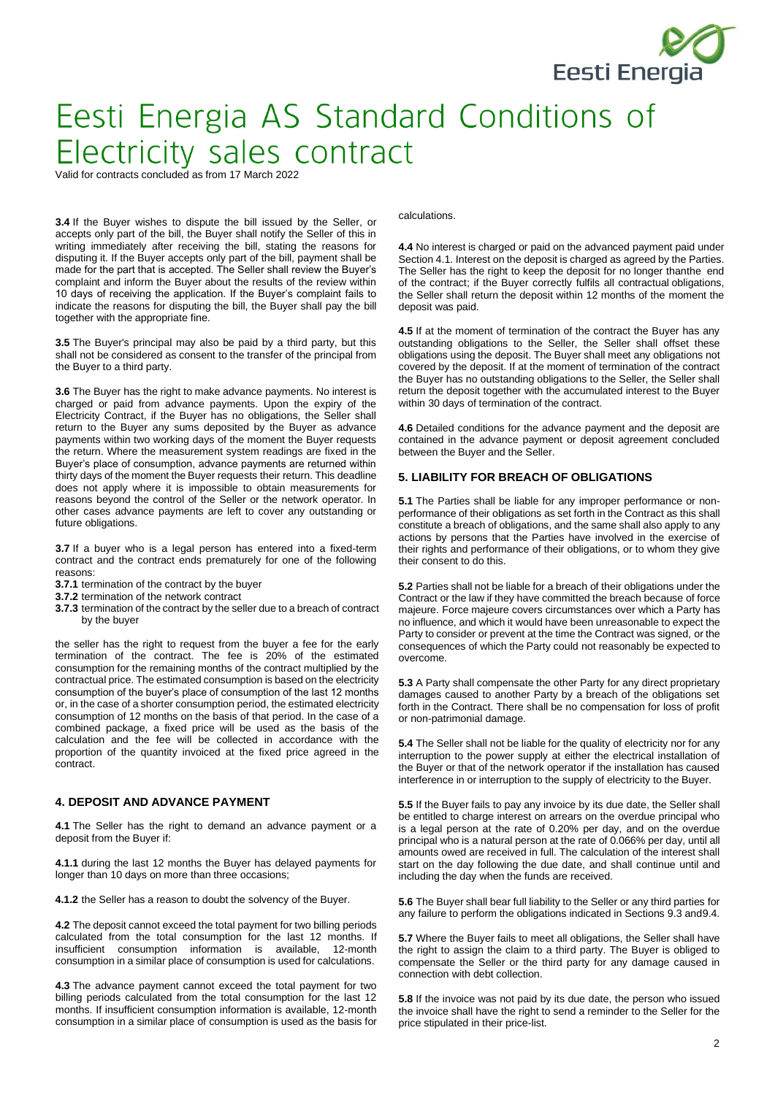

Valid for contracts concluded as from 17 March 2022

**3.4** If the Buyer wishes to dispute the bill issued by the Seller, or accepts only part of the bill, the Buyer shall notify the Seller of this in writing immediately after receiving the bill, stating the reasons for disputing it. If the Buyer accepts only part of the bill, payment shall be made for the part that is accepted. The Seller shall review the Buyer's complaint and inform the Buyer about the results of the review within 10 days of receiving the application. If the Buyer's complaint fails to indicate the reasons for disputing the bill, the Buyer shall pay the bill together with the appropriate fine.

**3.5** The Buyer's principal may also be paid by a third party, but this shall not be considered as consent to the transfer of the principal from the Buyer to a third party.

**3.6** The Buyer has the right to make advance payments. No interest is charged or paid from advance payments. Upon the expiry of the Electricity Contract, if the Buyer has no obligations, the Seller shall return to the Buyer any sums deposited by the Buyer as advance payments within two working days of the moment the Buyer requests the return. Where the measurement system readings are fixed in the Buyer's place of consumption, advance payments are returned within thirty days of the moment the Buyer requests their return. This deadline does not apply where it is impossible to obtain measurements for reasons beyond the control of the Seller or the network operator. In other cases advance payments are left to cover any outstanding or future obligations.

**3.7** If a buyer who is a legal person has entered into a fixed-term contract and the contract ends prematurely for one of the following reasons:

- **3.7.1** termination of the contract by the buyer
- **3.7.2** termination of the network contract
- **3.7.3** termination of the contract by the seller due to a breach of contract by the buyer

the seller has the right to request from the buyer a fee for the early termination of the contract. The fee is 20% of the estimated consumption for the remaining months of the contract multiplied by the contractual price. The estimated consumption is based on the electricity consumption of the buyer's place of consumption of the last 12 months or, in the case of a shorter consumption period, the estimated electricity consumption of 12 months on the basis of that period. In the case of a combined package, a fixed price will be used as the basis of the calculation and the fee will be collected in accordance with the proportion of the quantity invoiced at the fixed price agreed in the contract.

#### **4. DEPOSIT AND ADVANCE PAYMENT**

**4.1** The Seller has the right to demand an advance payment or a deposit from the Buyer if:

**4.1.1** during the last 12 months the Buyer has delayed payments for longer than 10 days on more than three occasions;

**4.1.2** the Seller has a reason to doubt the solvency of the Buyer.

**4.2** The deposit cannot exceed the total payment for two billing periods calculated from the total consumption for the last 12 months. If insufficient consumption information is available, 12-month consumption in a similar place of consumption is used for calculations.

**4.3** The advance payment cannot exceed the total payment for two billing periods calculated from the total consumption for the last 12 months. If insufficient consumption information is available, 12-month consumption in a similar place of consumption is used as the basis for

#### calculations.

**4.4** No interest is charged or paid on the advanced payment paid under Section 4.1. Interest on the deposit is charged as agreed by the Parties. The Seller has the right to keep the deposit for no longer thanthe end of the contract; if the Buyer correctly fulfils all contractual obligations, the Seller shall return the deposit within 12 months of the moment the deposit was paid.

**4.5** If at the moment of termination of the contract the Buyer has any outstanding obligations to the Seller, the Seller shall offset these obligations using the deposit. The Buyer shall meet any obligations not covered by the deposit. If at the moment of termination of the contract the Buyer has no outstanding obligations to the Seller, the Seller shall return the deposit together with the accumulated interest to the Buyer within 30 days of termination of the contract.

**4.6** Detailed conditions for the advance payment and the deposit are contained in the advance payment or deposit agreement concluded between the Buyer and the Seller.

#### **5. LIABILITY FOR BREACH OF OBLIGATIONS**

**5.1** The Parties shall be liable for any improper performance or nonperformance of their obligations as set forth in the Contract as this shall constitute a breach of obligations, and the same shall also apply to any actions by persons that the Parties have involved in the exercise of their rights and performance of their obligations, or to whom they give their consent to do this.

**5.2** Parties shall not be liable for a breach of their obligations under the Contract or the law if they have committed the breach because of force majeure. Force majeure covers circumstances over which a Party has no influence, and which it would have been unreasonable to expect the Party to consider or prevent at the time the Contract was signed, or the consequences of which the Party could not reasonably be expected to overcome.

**5.3** A Party shall compensate the other Party for any direct proprietary damages caused to another Party by a breach of the obligations set forth in the Contract. There shall be no compensation for loss of profit or non-patrimonial damage.

**5.4** The Seller shall not be liable for the quality of electricity nor for any interruption to the power supply at either the electrical installation of the Buyer or that of the network operator if the installation has caused interference in or interruption to the supply of electricity to the Buyer.

**5.5** If the Buyer fails to pay any invoice by its due date, the Seller shall be entitled to charge interest on arrears on the overdue principal who is a legal person at the rate of 0.20% per day, and on the overdue principal who is a natural person at the rate of 0.066% per day, until all amounts owed are received in full. The calculation of the interest shall start on the day following the due date, and shall continue until and including the day when the funds are received.

**5.6** The Buyer shall bear full liability to the Seller or any third parties for any failure to perform the obligations indicated in Sections 9.3 and9.4.

**5.7** Where the Buyer fails to meet all obligations, the Seller shall have the right to assign the claim to a third party. The Buyer is obliged to compensate the Seller or the third party for any damage caused in connection with debt collection.

**5.8** If the invoice was not paid by its due date, the person who issued the invoice shall have the right to send a reminder to the Seller for the price stipulated in their price-list.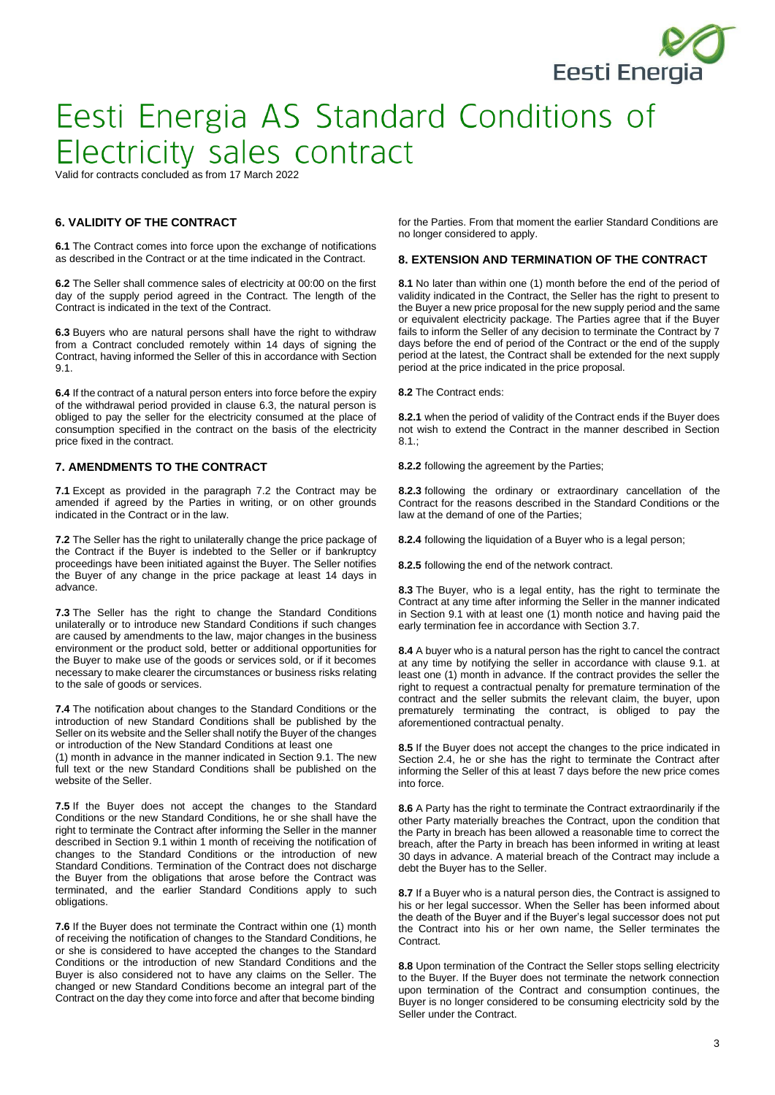

Valid for contracts concluded as from 17 March 202

### **6. VALIDITY OF THE CONTRACT**

**6.1** The Contract comes into force upon the exchange of notifications as described in the Contract or at the time indicated in the Contract.

**6.2** The Seller shall commence sales of electricity at 00:00 on the first day of the supply period agreed in the Contract. The length of the Contract is indicated in the text of the Contract.

**6.3** Buyers who are natural persons shall have the right to withdraw from a Contract concluded remotely within 14 days of signing the Contract, having informed the Seller of this in accordance with Section 9.1.

**6.4** If the contract of a natural person enters into force before the expiry of the withdrawal period provided in clause 6.3, the natural person is obliged to pay the seller for the electricity consumed at the place of consumption specified in the contract on the basis of the electricity price fixed in the contract.

#### **7. AMENDMENTS TO THE CONTRACT**

**7.1** Except as provided in the paragraph 7.2 the Contract may be amended if agreed by the Parties in writing, or on other grounds indicated in the Contract or in the law.

**7.2** The Seller has the right to unilaterally change the price package of the Contract if the Buyer is indebted to the Seller or if bankruptcy proceedings have been initiated against the Buyer. The Seller notifies the Buyer of any change in the price package at least 14 days in advance.

**7.3** The Seller has the right to change the Standard Conditions unilaterally or to introduce new Standard Conditions if such changes are caused by amendments to the law, major changes in the business environment or the product sold, better or additional opportunities for the Buyer to make use of the goods or services sold, or if it becomes necessary to make clearer the circumstances or business risks relating to the sale of goods or services.

**7.4** The notification about changes to the Standard Conditions or the introduction of new Standard Conditions shall be published by the Seller on its website and the Seller shall notify the Buyer of the changes or introduction of the New Standard Conditions at least one

(1) month in advance in the manner indicated in Section 9.1. The new full text or the new Standard Conditions shall be published on the website of the Seller.

**7.5** If the Buyer does not accept the changes to the Standard Conditions or the new Standard Conditions, he or she shall have the right to terminate the Contract after informing the Seller in the manner described in Section 9.1 within 1 month of receiving the notification of changes to the Standard Conditions or the introduction of new Standard Conditions. Termination of the Contract does not discharge the Buyer from the obligations that arose before the Contract was terminated, and the earlier Standard Conditions apply to such obligations.

**7.6** If the Buyer does not terminate the Contract within one (1) month of receiving the notification of changes to the Standard Conditions, he or she is considered to have accepted the changes to the Standard Conditions or the introduction of new Standard Conditions and the Buyer is also considered not to have any claims on the Seller. The changed or new Standard Conditions become an integral part of the Contract on the day they come into force and after that become binding

for the Parties. From that moment the earlier Standard Conditions are no longer considered to apply.

#### **8. EXTENSION AND TERMINATION OF THE CONTRACT**

**8.1** No later than within one (1) month before the end of the period of validity indicated in the Contract, the Seller has the right to present to the Buyer a new price proposal for the new supply period and the same or equivalent electricity package. The Parties agree that if the Buyer fails to inform the Seller of any decision to terminate the Contract by 7 days before the end of period of the Contract or the end of the supply period at the latest, the Contract shall be extended for the next supply period at the price indicated in the price proposal.

**8.2** The Contract ends:

**8.2.1** when the period of validity of the Contract ends if the Buyer does not wish to extend the Contract in the manner described in Section  $8.1.$ 

**8.2.2** following the agreement by the Parties;

**8.2.3** following the ordinary or extraordinary cancellation of the Contract for the reasons described in the Standard Conditions or the law at the demand of one of the Parties;

**8.2.4** following the liquidation of a Buyer who is a legal person;

**8.2.5** following the end of the network contract.

**8.3** The Buyer, who is a legal entity, has the right to terminate the Contract at any time after informing the Seller in the manner indicated in Section 9.1 with at least one (1) month notice and having paid the early termination fee in accordance with Section 3.7.

**8.4** A buyer who is a natural person has the right to cancel the contract at any time by notifying the seller in accordance with clause 9.1. at least one (1) month in advance. If the contract provides the seller the right to request a contractual penalty for premature termination of the contract and the seller submits the relevant claim, the buyer, upon prematurely terminating the contract, is obliged to pay the aforementioned contractual penalty.

**8.5** If the Buyer does not accept the changes to the price indicated in Section 2.4, he or she has the right to terminate the Contract after informing the Seller of this at least 7 days before the new price comes into force.

**8.6** A Party has the right to terminate the Contract extraordinarily if the other Party materially breaches the Contract, upon the condition that the Party in breach has been allowed a reasonable time to correct the breach, after the Party in breach has been informed in writing at least 30 days in advance. A material breach of the Contract may include a debt the Buyer has to the Seller.

**8.7** If a Buyer who is a natural person dies, the Contract is assigned to his or her legal successor. When the Seller has been informed about the death of the Buyer and if the Buyer's legal successor does not put the Contract into his or her own name, the Seller terminates the Contract.

**8.8** Upon termination of the Contract the Seller stops selling electricity to the Buyer. If the Buyer does not terminate the network connection upon termination of the Contract and consumption continues, the Buyer is no longer considered to be consuming electricity sold by the Seller under the Contract.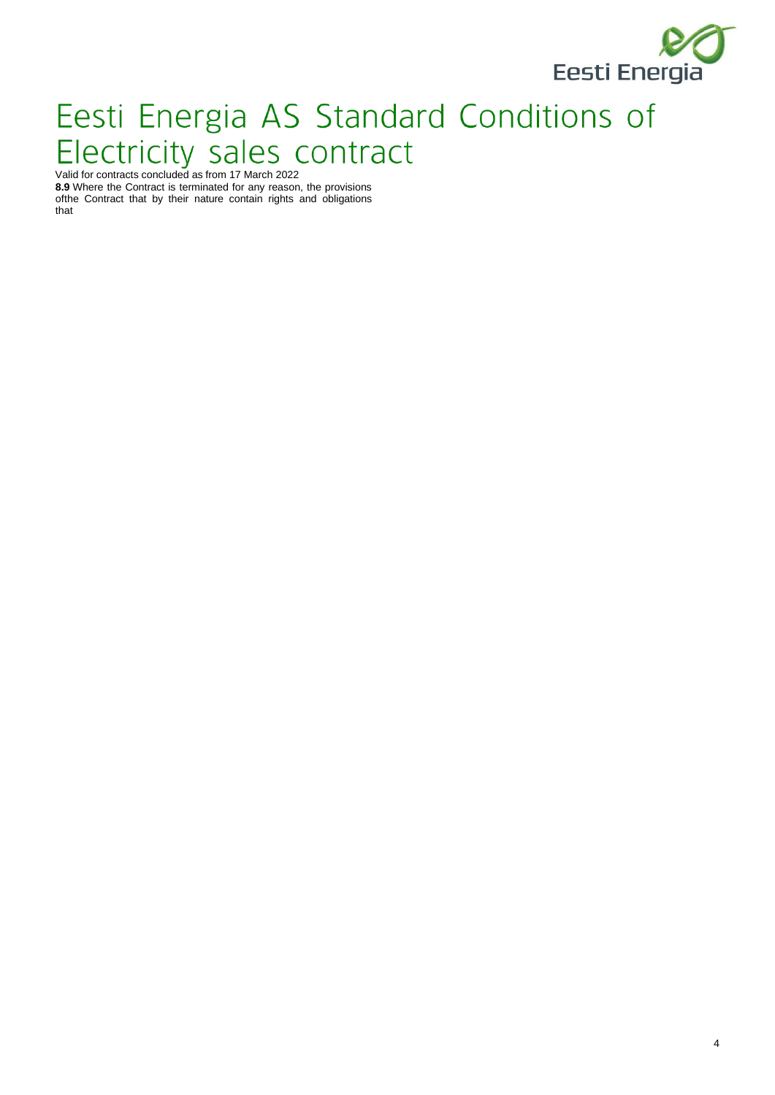

# Eesti Energia AS Standard Conditions of Electricity Sales contracts concluded as from 17 March 2022

**8.9** Where the Contract is terminated for any reason, the provisions ofthe Contract that by their nature contain rights and obligations that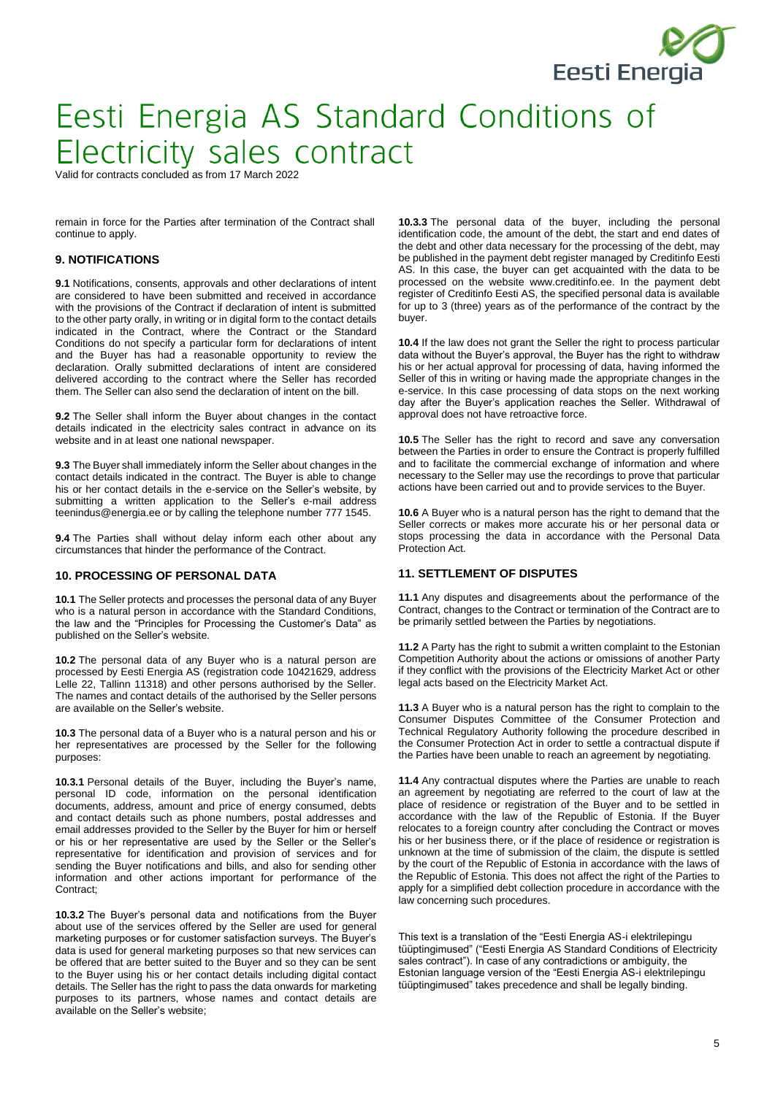

Valid for contracts concluded as from 17 March 2022

remain in force for the Parties after termination of the Contract shall continue to apply.

#### **9. NOTIFICATIONS**

**9.1** Notifications, consents, approvals and other declarations of intent are considered to have been submitted and received in accordance with the provisions of the Contract if declaration of intent is submitted to the other party orally, in writing or in digital form to the contact details indicated in the Contract, where the Contract or the Standard Conditions do not specify a particular form for declarations of intent and the Buyer has had a reasonable opportunity to review the declaration. Orally submitted declarations of intent are considered delivered according to the contract where the Seller has recorded them. The Seller can also send the declaration of intent on the bill.

**9.2** The Seller shall inform the Buyer about changes in the contact details indicated in the electricity sales contract in advance on its website and in at least one national newspaper.

**9.3** The Buyer shall immediately inform the Seller about changes in the contact details indicated in the contract. The Buyer is able to change his or her contact details in the e-service on the Seller's website, by submitting a written application to the Seller's e-mail address [teenindus@energia.ee](mailto:teenindus@energia.ee) or by calling the telephone number 777 1545.

**9.4** The Parties shall without delay inform each other about any circumstances that hinder the performance of the Contract.

#### **10. PROCESSING OF PERSONAL DATA**

**10.1** The Seller protects and processes the personal data of any Buyer who is a natural person in accordance with the Standard Conditions, the law and the "Principles for Processing the Customer's Data" as published on the Seller's website.

**10.2** The personal data of any Buyer who is a natural person are processed by Eesti Energia AS (registration code 10421629, address Lelle 22, Tallinn 11318) and other persons authorised by the Seller. The names and contact details of the authorised by the Seller persons are available on the Seller's website.

**10.3** The personal data of a Buyer who is a natural person and his or her representatives are processed by the Seller for the following purposes:

**10.3.1** Personal details of the Buyer, including the Buyer's name, personal ID code, information on the personal identification documents, address, amount and price of energy consumed, debts and contact details such as phone numbers, postal addresses and email addresses provided to the Seller by the Buyer for him or herself or his or her representative are used by the Seller or the Seller's representative for identification and provision of services and for sending the Buyer notifications and bills, and also for sending other information and other actions important for performance of the Contract;

**10.3.2** The Buyer's personal data and notifications from the Buyer about use of the services offered by the Seller are used for general marketing purposes or for customer satisfaction surveys. The Buyer's data is used for general marketing purposes so that new services can be offered that are better suited to the Buyer and so they can be sent to the Buyer using his or her contact details including digital contact details. The Seller has the right to pass the data onwards for marketing purposes to its partners, whose names and contact details are available on the Seller's website;

**10.3.3** The personal data of the buyer, including the personal identification code, the amount of the debt, the start and end dates of the debt and other data necessary for the processing of the debt, may be published in the payment debt register managed by Creditinfo Eesti AS. In this case, the buyer can get acquainted with the data to be processed on the website [www.creditinfo.ee.](http://www.creditinfo.ee/) In the payment debt register of Creditinfo Eesti AS, the specified personal data is available for up to 3 (three) years as of the performance of the contract by the buyer.

**10.4** If the law does not grant the Seller the right to process particular data without the Buyer's approval, the Buyer has the right to withdraw his or her actual approval for processing of data, having informed the Seller of this in writing or having made the appropriate changes in the e-service. In this case processing of data stops on the next working day after the Buyer's application reaches the Seller. Withdrawal of approval does not have retroactive force.

**10.5** The Seller has the right to record and save any conversation between the Parties in order to ensure the Contract is properly fulfilled and to facilitate the commercial exchange of information and where necessary to the Seller may use the recordings to prove that particular actions have been carried out and to provide services to the Buyer.

**10.6** A Buyer who is a natural person has the right to demand that the Seller corrects or makes more accurate his or her personal data or stops processing the data in accordance with the Personal Data Protection Act.

#### **11. SETTLEMENT OF DISPUTES**

**11.1** Any disputes and disagreements about the performance of the Contract, changes to the Contract or termination of the Contract are to be primarily settled between the Parties by negotiations.

**11.2** A Party has the right to submit a written complaint to the Estonian Competition Authority about the actions or omissions of another Party if they conflict with the provisions of the Electricity Market Act or other legal acts based on the Electricity Market Act.

**11.3** A Buyer who is a natural person has the right to complain to the Consumer Disputes Committee of the Consumer Protection and Technical Regulatory Authority following the procedure described in the Consumer Protection Act in order to settle a contractual dispute if the Parties have been unable to reach an agreement by negotiating.

**11.4** Any contractual disputes where the Parties are unable to reach an agreement by negotiating are referred to the court of law at the place of residence or registration of the Buyer and to be settled in accordance with the law of the Republic of Estonia. If the Buyer relocates to a foreign country after concluding the Contract or moves his or her business there, or if the place of residence or registration is unknown at the time of submission of the claim, the dispute is settled by the court of the Republic of Estonia in accordance with the laws of the Republic of Estonia. This does not affect the right of the Parties to apply for a simplified debt collection procedure in accordance with the law concerning such procedures.

This text is a translation of the "Eesti Energia AS-i elektrilepingu tüüptingimused" ("Eesti Energia AS Standard Conditions of Electricity sales contract"). In case of any contradictions or ambiguity, the Estonian language version of the "Eesti Energia AS-i elektrilepingu tüüptingimused" takes precedence and shall be legally binding.